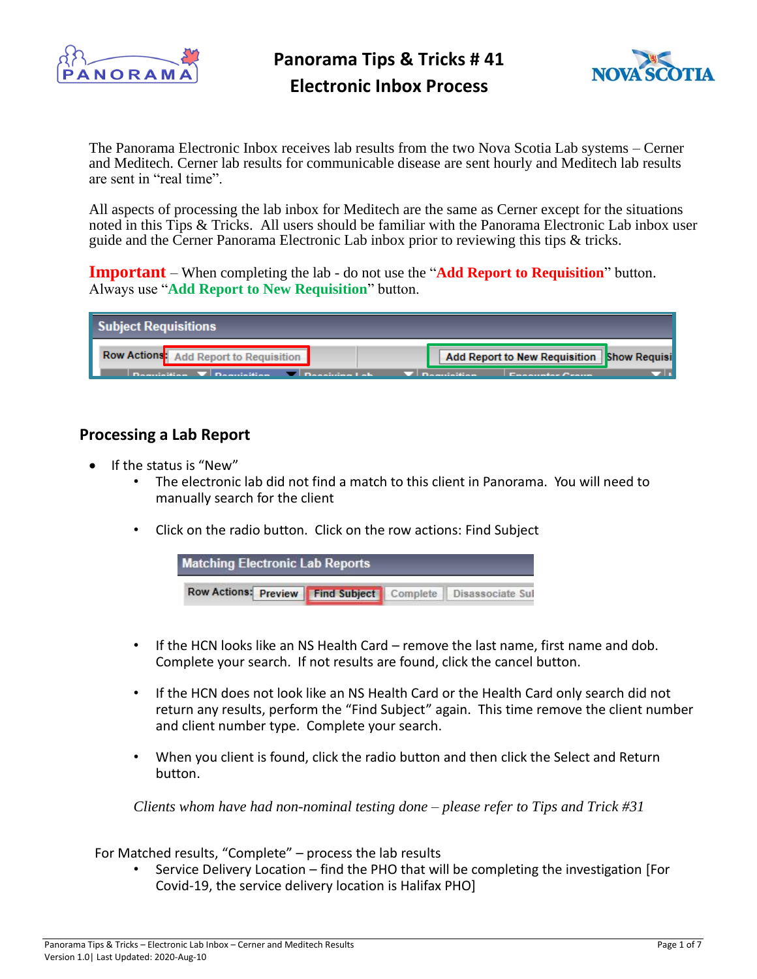

**Panorama Tips & Tricks # 41 Electronic Inbox Process**



The Panorama Electronic Inbox receives lab results from the two Nova Scotia Lab systems – Cerner and Meditech. Cerner lab results for communicable disease are sent hourly and Meditech lab results are sent in "real time".

All aspects of processing the lab inbox for Meditech are the same as Cerner except for the situations noted in this Tips & Tricks. All users should be familiar with the Panorama Electronic Lab inbox user guide and the Cerner Panorama Electronic Lab inbox prior to reviewing this tips & tricks.

**Important** – When completing the lab - do not use the "**Add Report to Requisition**" button. Always use "**Add Report to New Requisition**" button.

| Subject Requisitions                                        |                                                                                                                                                                                                                                                                   |
|-------------------------------------------------------------|-------------------------------------------------------------------------------------------------------------------------------------------------------------------------------------------------------------------------------------------------------------------|
| Row Actions: Add Report to Requisition                      | Add Report to New Requisition   Show Requisi                                                                                                                                                                                                                      |
| $\Box$ Dequisition $\Box$ Dequisition $\Box$ Depointment of | <b>Consumer Consumers</b><br><u> Transformation and the contract of the contract of the contract of the contract of the contract of the contract of the contract of the contract of the contract of the contract of the contract of the contract of the contr</u> |

## **Processing a Lab Report**

- If the status is "New"
	- The electronic lab did not find a match to this client in Panorama. You will need to manually search for the client
	- Click on the radio button. Click on the row actions: Find Subject

| <b>Matching Electronic Lab Reports</b>                            |  |  |
|-------------------------------------------------------------------|--|--|
| Row Actions: Preview   Find Subject   Complete   Disassociate Sul |  |  |

- If the HCN looks like an NS Health Card remove the last name, first name and dob. Complete your search. If not results are found, click the cancel button.
- If the HCN does not look like an NS Health Card or the Health Card only search did not return any results, perform the "Find Subject" again. This time remove the client number and client number type. Complete your search.
- When you client is found, click the radio button and then click the Select and Return button.

*Clients whom have had non-nominal testing done – please refer to Tips and Trick #31* 

For Matched results, "Complete" – process the lab results

• Service Delivery Location – find the PHO that will be completing the investigation [For Covid-19, the service delivery location is Halifax PHO]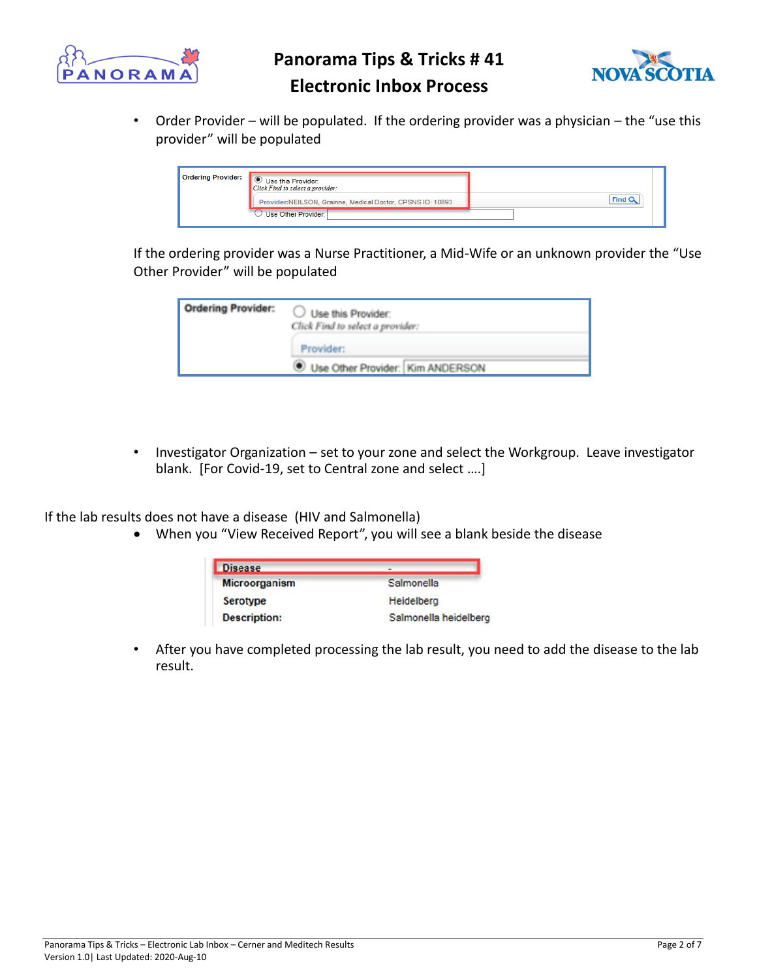

**Panorama Tips & Tricks # 41**



## **Electronic Inbox Process**

• Order Provider – will be populated. If the ordering provider was a physician – the "use this provider" will be populated

| <b>Ordering Provider:</b> | Use this Provider:<br>Click Find to select a provider:<br>Provider:NEILSON, Grainne, Medical Doctor, CPSNS ID: 10893<br>Use Other Provider: |  |
|---------------------------|---------------------------------------------------------------------------------------------------------------------------------------------|--|
|---------------------------|---------------------------------------------------------------------------------------------------------------------------------------------|--|

If the ordering provider was a Nurse Practitioner, a Mid-Wife or an unknown provider the "Use Other Provider" will be populated

| <b>Ordering Provider:</b> | Use this Provider:<br>Click Find to select a provider: |
|---------------------------|--------------------------------------------------------|
|                           | Provider:<br>Use Other Provider: Kim ANDERSON          |
|                           |                                                        |

• Investigator Organization – set to your zone and select the Workgroup. Leave investigator blank. [For Covid-19, set to Central zone and select ….]

If the lab results does not have a disease (HIV and Salmonella)

• When you "View Received Report", you will see a blank beside the disease

| <b>Disease</b>      |                       |  |
|---------------------|-----------------------|--|
| Microorganism       | Salmonella            |  |
| <b>Serotype</b>     | Heidelberg            |  |
| <b>Description:</b> | Salmonella heidelberg |  |

• After you have completed processing the lab result, you need to add the disease to the lab result.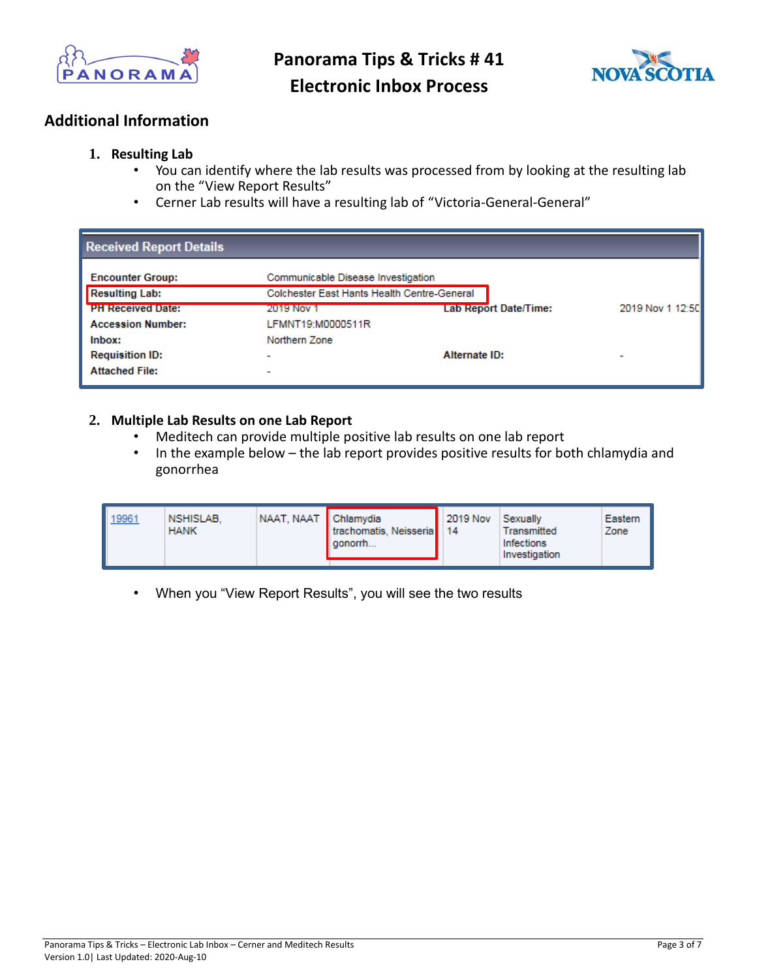

**Panorama Tips & Tricks # 41 Electronic Inbox Process**



## **Additional Information**

#### **1. Resulting Lab**

- You can identify where the lab results was processed from by looking at the resulting lab on the "View Report Results"
- Cerner Lab results will have a resulting lab of "Victoria-General-General"

| <b>Received Report Details</b> |                                             |                       |                  |
|--------------------------------|---------------------------------------------|-----------------------|------------------|
| <b>Encounter Group:</b>        | Communicable Disease Investigation          |                       |                  |
| <b>Resulting Lab:</b>          | Colchester East Hants Health Centre-General |                       |                  |
| <b>PH Received Date:</b>       | 2019 Nov 1                                  | Lab Report Date/Time: | 2019 Nov 1 12:50 |
| <b>Accession Number:</b>       | LFMNT19:M0000511R                           |                       |                  |
| Inbox:                         | Northern Zone                               |                       |                  |
| <b>Requisition ID:</b>         | $\overline{\phantom{a}}$                    | Alternate ID:         | -                |
| <b>Attached File:</b>          | $\overline{\phantom{a}}$                    |                       |                  |

#### **2. Multiple Lab Results on one Lab Report**

- Meditech can provide multiple positive lab results on one lab report
- In the example below the lab report provides positive results for both chlamydia and gonorrhea

| NAAT, NAAT Chlamydia<br>19961<br>NSHISLAB.<br>trachomatis, Neisseria   14<br><b>HANK</b><br>l gonomh | 2019 Nov | Sexually<br>Transmitted<br>Infections<br>Investigation | Eastern<br>Zone |
|------------------------------------------------------------------------------------------------------|----------|--------------------------------------------------------|-----------------|
|------------------------------------------------------------------------------------------------------|----------|--------------------------------------------------------|-----------------|

• When you "View Report Results", you will see the two results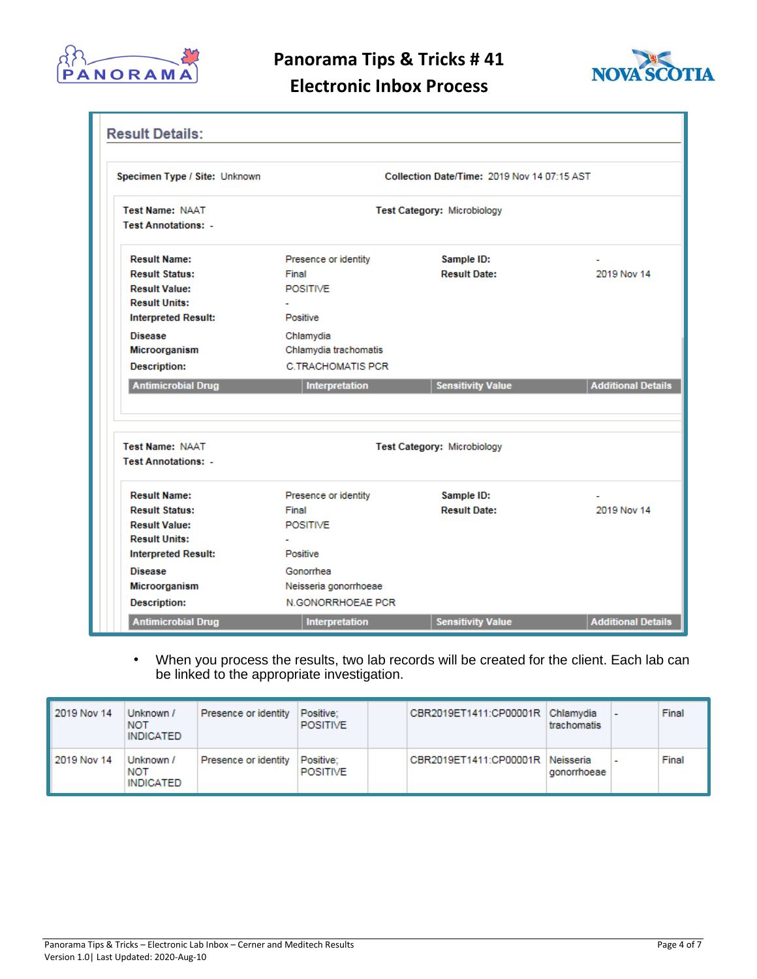

**Panorama Tips & Tricks # 41**



# **Electronic Inbox Process**

| Collection Date/Time: 2019 Nov 14 07:15 AST<br>Specimen Type / Site: Unknown |                          |                             |  |
|------------------------------------------------------------------------------|--------------------------|-----------------------------|--|
| <b>Test Category: Microbiology</b>                                           |                          |                             |  |
|                                                                              |                          |                             |  |
| Presence or identity                                                         | Sample ID:               |                             |  |
| Final                                                                        | <b>Result Date:</b>      | 2019 Nov 14                 |  |
| <b>POSITIVE</b>                                                              |                          |                             |  |
|                                                                              |                          |                             |  |
| Positive                                                                     |                          |                             |  |
| Chlamydia                                                                    |                          |                             |  |
| Chlamydia trachomatis                                                        |                          |                             |  |
| <b>C.TRACHOMATIS PCR</b>                                                     |                          |                             |  |
| Interpretation                                                               | <b>Sensitivity Value</b> | <b>Additional Details</b>   |  |
|                                                                              |                          |                             |  |
|                                                                              |                          |                             |  |
| Presence or identity                                                         | Sample ID:               |                             |  |
| Final                                                                        | <b>Result Date:</b>      | 2019 Nov 14                 |  |
|                                                                              |                          |                             |  |
| <b>POSITIVE</b>                                                              |                          |                             |  |
|                                                                              |                          |                             |  |
| Positive                                                                     |                          |                             |  |
| Gonorrhea                                                                    |                          |                             |  |
| Neisseria gonorrhoeae                                                        |                          |                             |  |
|                                                                              |                          | Test Category: Microbiology |  |

• When you process the results, two lab records will be created for the client. Each lab can be linked to the appropriate investigation.

| 2019 Nov 14 | Unknown /<br><b>NOT</b><br>INDICATED | Presence or identity | Positive:<br>POSITIVE        | CBR2019ET1411:CP00001R Chlamydia | trachomatis |                | Final |
|-------------|--------------------------------------|----------------------|------------------------------|----------------------------------|-------------|----------------|-------|
| 2019 Nov 14 | Unknown /<br><b>NOT</b><br>INDICATED | Presence or identity | Positive:<br><b>POSITIVE</b> | CBR2019ET1411:CP00001R Neisseria | gonorrhoeae | $\blacksquare$ | Final |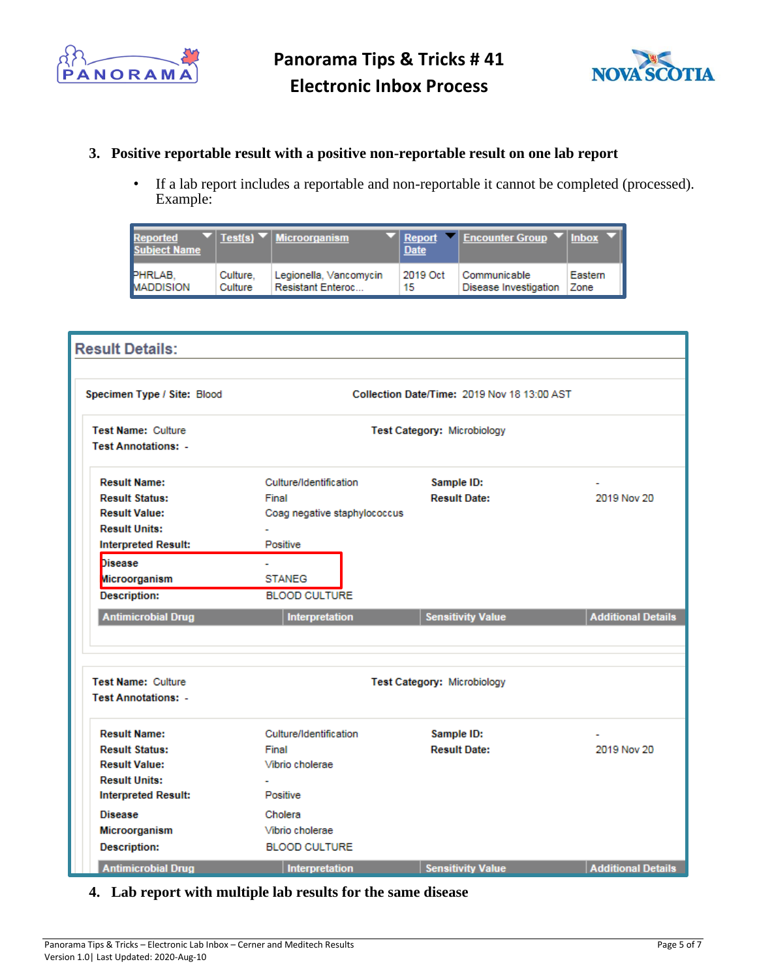



### **3. Positive reportable result with a positive non-reportable result on one lab report**

• If a lab report includes a reportable and non-reportable it cannot be completed (processed). Example:

| <b>Reported</b><br><b>Subject Name</b> |          | $\blacktriangledown$   Test(s) $\blacktriangledown$   Microorganism | <b>Date</b> | $\blacktriangledown$ Report $\blacktriangledown$ Encounter Group $\blacktriangledown$ Inbox |         |
|----------------------------------------|----------|---------------------------------------------------------------------|-------------|---------------------------------------------------------------------------------------------|---------|
| <b>PHRLAB.</b>                         | Culture. | Legionella, Vancomycin                                              | 2019 Oct    | Communicable                                                                                | Eastern |
| <b>MADDISION</b>                       | Culture  | <b>Resistant Enteroc</b>                                            | 15          | Disease Investigation                                                                       | Zone    |

| <b>Result Details:</b>                                  |                                             |                             |                           |  |
|---------------------------------------------------------|---------------------------------------------|-----------------------------|---------------------------|--|
| Specimen Type / Site: Blood                             | Collection Date/Time: 2019 Nov 18 13:00 AST |                             |                           |  |
| <b>Test Name: Culture</b><br><b>Test Annotations: -</b> | <b>Test Category: Microbiology</b>          |                             |                           |  |
| <b>Result Name:</b>                                     | Culture/Identification                      | Sample ID:                  |                           |  |
| <b>Result Status:</b>                                   | Final                                       | <b>Result Date:</b>         | 2019 Nov 20               |  |
| <b>Result Value:</b>                                    | Coag negative staphylococcus                |                             |                           |  |
| <b>Result Units:</b>                                    |                                             |                             |                           |  |
| <b>Interpreted Result:</b>                              | Positive                                    |                             |                           |  |
| <b>Disease</b>                                          | ÷                                           |                             |                           |  |
| Microorganism                                           | <b>STANEG</b>                               |                             |                           |  |
| <b>Description:</b>                                     | <b>BLOOD CULTURE</b>                        |                             |                           |  |
| <b>Antimicrobial Drug</b>                               | Interpretation                              | <b>Sensitivity Value</b>    | <b>Additional Details</b> |  |
| <b>Test Name: Culture</b><br><b>Test Annotations: -</b> |                                             | Test Category: Microbiology |                           |  |
| <b>Result Name:</b>                                     | Culture/Identification                      | Sample ID:                  |                           |  |
| <b>Result Status:</b>                                   | Final                                       | <b>Result Date:</b>         | 2019 Nov 20               |  |
| <b>Result Value:</b>                                    | Vibrio cholerae                             |                             |                           |  |
| <b>Result Units:</b>                                    |                                             |                             |                           |  |
| <b>Interpreted Result:</b>                              | Positive                                    |                             |                           |  |
| <b>Disease</b>                                          | Cholera                                     |                             |                           |  |
| Microorganism                                           | Vibrio cholerae                             |                             |                           |  |
| <b>Description:</b>                                     | <b>BLOOD CULTURE</b>                        |                             |                           |  |
|                                                         |                                             | <b>Sensitivity Value</b>    | <b>Additional Details</b> |  |

## **4. Lab report with multiple lab results for the same disease**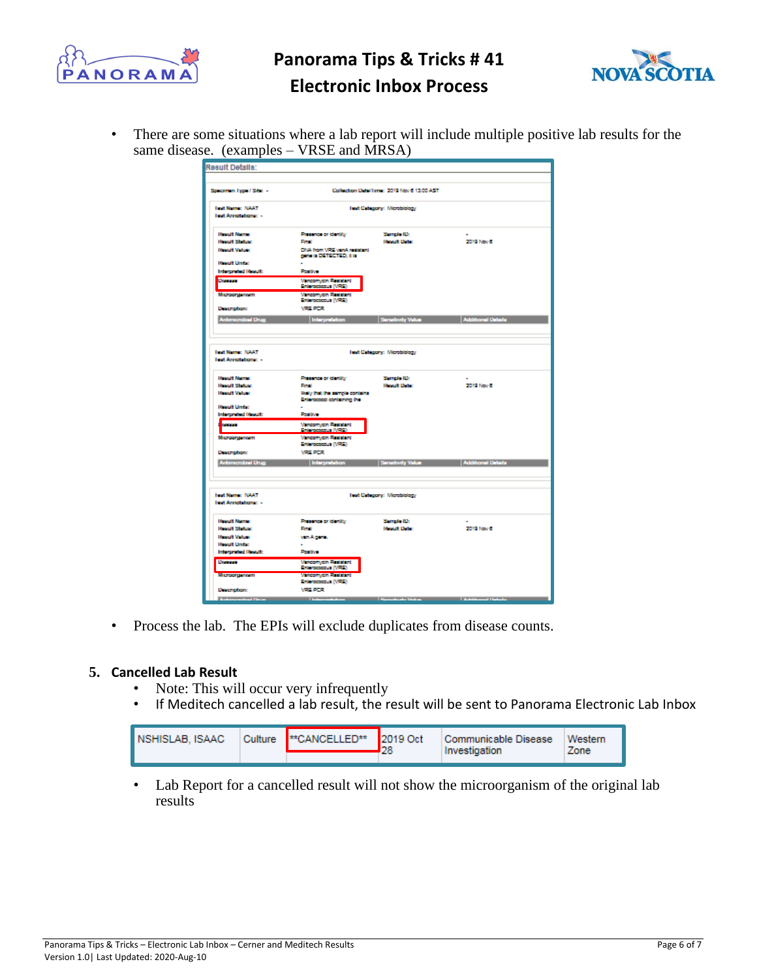

**Panorama Tips & Tricks # 41**



# **Electronic Inbox Process**

• There are some situations where a lab report will include multiple positive lab results for the same disease. (examples – VRSE and MRSA)

| <b>Result Details:</b>                 |                                 |                                              |                                                                          |
|----------------------------------------|---------------------------------|----------------------------------------------|--------------------------------------------------------------------------|
|                                        |                                 |                                              |                                                                          |
|                                        |                                 |                                              |                                                                          |
|                                        |                                 | Collection Detail area. 2019 Nov 6 13:00 AST |                                                                          |
| Specimen Type / Site: -                |                                 |                                              |                                                                          |
|                                        |                                 |                                              |                                                                          |
| <b>Text Name: NAAT</b>                 |                                 | Text Category: Microbiology                  |                                                                          |
| <b>Text Annotations: -</b>             |                                 |                                              |                                                                          |
|                                        |                                 |                                              |                                                                          |
| <b>Hospit Name:</b>                    |                                 |                                              |                                                                          |
|                                        | Photomas or identify            | Sample ID:                                   | 2019 Nov 6                                                               |
| <b>Honort Status:</b>                  | <b>First</b>                    | <b>Hoseit Date:</b>                          |                                                                          |
| <b>Handi Value:</b>                    | DNA from VFS, van A resistant   |                                              |                                                                          |
| <b>Hospit Unite:</b>                   | gene is DE TECTED; it is        |                                              |                                                                          |
|                                        |                                 |                                              |                                                                          |
| Interpreted Result:                    | Positive                        |                                              |                                                                          |
| Domest                                 | Vencomycin Resistant            |                                              |                                                                          |
|                                        | Enforcecedus (VRE)              |                                              |                                                                          |
| Microorganam                           | Vencomycin Resistant            |                                              |                                                                          |
|                                        | Enforcecco.com (VPSE)           |                                              |                                                                          |
| <b>Description:</b>                    | <b>WELFOR</b>                   |                                              |                                                                          |
| <b>Antenerobal Urug</b>                | Interpretation                  | Senatoriy Value                              | Additional Details                                                       |
|                                        |                                 |                                              |                                                                          |
|                                        |                                 |                                              |                                                                          |
|                                        |                                 |                                              |                                                                          |
|                                        |                                 |                                              |                                                                          |
| <b>Text Name: NAAT</b>                 |                                 | Text Category: Microbiology                  |                                                                          |
| lest Annotations: -                    |                                 |                                              |                                                                          |
|                                        |                                 |                                              |                                                                          |
| <b>Hought Name:</b>                    |                                 |                                              |                                                                          |
|                                        | Photomas or identify            | Sample ID:                                   |                                                                          |
| <b>Hought Station:</b>                 | <b>Final</b>                    | <b>Regult Date:</b>                          | 2019 Nov 6                                                               |
| <b>Housett Velsac</b>                  | likely that the sample contains |                                              |                                                                          |
|                                        | Enterococci containing the      |                                              |                                                                          |
| <b>Honoft Under:</b>                   |                                 |                                              |                                                                          |
| Interpreted Result:                    | Posttive                        |                                              |                                                                          |
| <b>Service</b>                         | Venconycin Resistant            |                                              |                                                                          |
|                                        | <b>Schoolware (VALS)</b>        |                                              |                                                                          |
| Microorganeen                          | Vanconycin Resistant            |                                              |                                                                          |
|                                        | Enterococous (VFS)              |                                              |                                                                          |
| <b>Description:</b>                    | <b>WELFER</b>                   |                                              |                                                                          |
| <b>Antimerciani Urug</b>               | Interpretation                  | Senatoriy Value                              | ddiboral Details                                                         |
|                                        |                                 |                                              |                                                                          |
|                                        |                                 |                                              |                                                                          |
|                                        |                                 |                                              |                                                                          |
|                                        |                                 |                                              |                                                                          |
| <b>Text Name: NAAT</b>                 |                                 | Text Category: Microbiology                  |                                                                          |
| lest Annotations: -                    |                                 |                                              |                                                                          |
|                                        |                                 |                                              |                                                                          |
| <b>Hospit Name:</b>                    | Photonco or identity            | Semple ID:                                   |                                                                          |
| <b>Hanuit Status:</b>                  | <b>Final</b>                    | <b>Report Date:</b>                          | 2019 Nov 6                                                               |
|                                        |                                 |                                              |                                                                          |
| <b>Hought Volume</b>                   | van Agene.                      |                                              |                                                                          |
| <b>Horuft Unite:</b>                   |                                 |                                              |                                                                          |
| Interpreted Result:                    | Positive                        |                                              |                                                                          |
| <b>University</b>                      | <b>Vinconycin Resistant</b>     |                                              |                                                                          |
|                                        | Enforceceur (VRE)               |                                              |                                                                          |
| Microorganeern                         | Vincentein Basistani            |                                              |                                                                          |
|                                        | Enforcecco.com (VPEL)           |                                              |                                                                          |
| <b>Description:</b>                    | <b><i>VRE PCR</i></b>           |                                              |                                                                          |
| <b><i>Distances and the United</i></b> |                                 |                                              | <b>Schemedishers Manufacture Video Maria Material Settlement Patrick</b> |
|                                        |                                 |                                              |                                                                          |

• Process the lab. The EPIs will exclude duplicates from disease counts.

### **5. Cancelled Lab Result**

- Note: This will occur very infrequently
- If Meditech cancelled a lab result, the result will be sent to Panorama Electronic Lab Inbox

| Culture  **CANCELLED**  2019 Oct | Communicable Disease | Western |
|----------------------------------|----------------------|---------|
| INSHISLAB, ISAAC                 | Investigation        | Zone    |

• Lab Report for a cancelled result will not show the microorganism of the original lab results